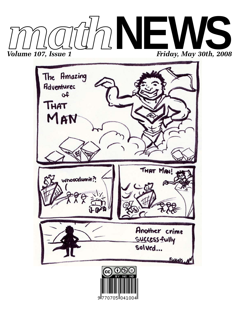



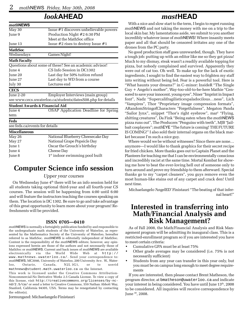### *look***AHEAD**

| mathNEWS                                  |                                                             |  |  |  |  |  |
|-------------------------------------------|-------------------------------------------------------------|--|--|--|--|--|
| May 30                                    | Issue #1 discovers unbelievable powers                      |  |  |  |  |  |
| June 9                                    | Production Night #2 6:30 PM                                 |  |  |  |  |  |
|                                           | Meet at the MathSoc office                                  |  |  |  |  |  |
| June 13                                   | Issue $#2$ rises to destroy Issue $#1$                      |  |  |  |  |  |
| <b>MathSoc</b>                            |                                                             |  |  |  |  |  |
| Wednesdays                                | Games Night!                                                |  |  |  |  |  |
| <b>Math Faculty</b>                       |                                                             |  |  |  |  |  |
|                                           | Questions about some of these? See an academic advisor!     |  |  |  |  |  |
| June 4                                    | CS Info Session in DC1302                                   |  |  |  |  |  |
| June 20                                   | Last day for 50% tuition refund                             |  |  |  |  |  |
| Last day to WD from a course<br>June 27   |                                                             |  |  |  |  |  |
| July 30                                   | Lectures end                                                |  |  |  |  |  |
| <b>CECS</b>                               |                                                             |  |  |  |  |  |
| June 2-20                                 | Employer Interviews (main group)                            |  |  |  |  |  |
|                                           | see www.cecs.uwaterloo.ca/students/datesS08.php for details |  |  |  |  |  |
| <b>Student Awards &amp; Financial Aid</b> |                                                             |  |  |  |  |  |
| June 4                                    | <b>OSAP Application Deadline for Spring</b>                 |  |  |  |  |  |
| term                                      |                                                             |  |  |  |  |  |
| Feds                                      |                                                             |  |  |  |  |  |
| see feds.ca/events for details            |                                                             |  |  |  |  |  |
| <b>Miscellaneous</b>                      |                                                             |  |  |  |  |  |
| May 26                                    | National Blueberry Cheesecake Day                           |  |  |  |  |  |
| May 27                                    | National Grape Popsicle Day                                 |  |  |  |  |  |
| June 1                                    | Oscar the Grouch's birthday                                 |  |  |  |  |  |
| June 4                                    | Cheese Day                                                  |  |  |  |  |  |
| June 8                                    | 1 <sup>st</sup> indoor swimming pool built                  |  |  |  |  |  |

### **Computer Science info session**

#### *Upper year courses*

On Wednesday June  $4<sup>th</sup>$  there will be an info session held for all students taking optional third-year and all fourth-year CS courses. The session will be happening from 4:00 until 6:00 and will feature the instructors teaching the courses speaking on them. The location is DC 1302. Be sure to go and take advantage of this great opportunity to learn more about your program! Refreshments will be provided.

#### **ISSN 0705—0410**

*math*NEWS is normally a fortnightly publication funded by and responsible to the undergraduate math students of the University of Waterloo, as represented by the Mathematics Society of the University of Waterloo, hereafter referred to as MathSoc. *math*NEWS is editorially independent of MathSoc. Content is the responsibility of the *math*NEWS editors; however, any opinions expressed herein are those of the authors and not necessarily those of MathSoc or *math*NEWS. Current and back issues of *math*NEWS are available electronically via the World Wide Web at http:// www.mathnews.uwaterloo.ca/. Send your correspondence to: *math*NEWS, MC3046, University of Waterloo, 200 University Ave. W., Waterloo, Ontario, Canada, N2L 3G1, or to userid mathnews@student.math.uwaterloo.ca on the Internet.

This work is licensed under the Creative Commons Attribution-Noncommercial-No Derivative Works 2.5 Canada License. To view a copy of this license, visit http://creativecommons.org/licenses/by-ncnd/2.5/ca/ or send a letter to Creative Commons, 559 Nathan Abbott Way, Stanford, California 94305, USA. Terms may be renegotiated by contacting the editor(s).

Jormungand: Michaelangelo Finistauri

### *mast***HEAD**

With a nice and slow start to the term, I begin to regret running *math*NEWS and not taking the money with me on a trip to the local skin bar. My lamentations aside, we submit to you another incredibly whatever issue of *math*NEWS! Where insanity meets paper and all that should be censored irritates any one of the drones from the PC party.

No good production staff goes unrewarded, though. They have a tough job: putting up with an editor like me so they got pizza! Much to my dismay, steak wasn't a readily available topping for pizza, but nobody complained and survived. Apparently they were out of cat too. Oh well. To make up for the lack of exotic ingredients, I sought to find the easiest way to frighten my staff into writing without being fed. Fear is a powerful tool. Here is "What haunts your dreams?" in C–minor: InsideR "The Single Guy + Angelo's mother", Way-too-old-to-be-here Mathie "Censored to save your innocent, young eyes", Niner "Imprint in Impact font", Nadz "Supercalifragilisticexpaladocilous…ness", Lich "Vampires", Thor "Proprietary image compression formats", ARandomStringofCharacters "Forgetfulness", Megaton Panda "Sailor Jynx", snippet "Thor's right eyebrow", mar<sup>2</sup> "Flying, shitting creatures", Da Fink "Being eaten when the *math*NEWS pizza runs out", The Producers "Penguins with teeth", MJB "Jailbait cosplayers"; *math*EYE "The future is coming! THE FUTURE IS COMING!" I also sold their internal organs on the black market because I'm such a nice guy.

Where would we be without witnesses? Since there are none… anymore—I would like to thank graphics for their secret recipe for fried chicken. More thanks goes out to Captain Planet and the Planteers for teaching me that I can be environmentally conscious and incredibly racist at the same time. Mortal Kombat for showing me how to beat the ever-loving hell out of someone only to turn around and prove my friendship to them afterward. Special thanks go to my "carpet cleaners", you guys remove even the most human-like stains out of any carpet and crack den! Until next time.

Michaelangelo 'AngelED' Finistauri "The beating of that infernal heart!"

# **Interested in transferring into Math/Financial Analysis and Risk Management?**

As of Fall 2008, the Math/Financial Analysis and Risk Management program will be admitting its inaugural class. This is a restricted-enrollment program so if you are interested you have to meet certain criteria:

- Cumulative GPA must be at least 75%
- Other grade averages may be considered (i.e. 75% is not necessarily sufficient)
- Students from any year can transfer in this year only, but you must be on campus long enough to meet degree requirements

If you are interested, then please contact Brent Matheson, the program director, at bmatheson@uwaterloo.ca and indicate your interest in being considered. You have until June 13<sup>th</sup>, 2008 to be considered. All inquiries will receive correspondence by June 30, 2008.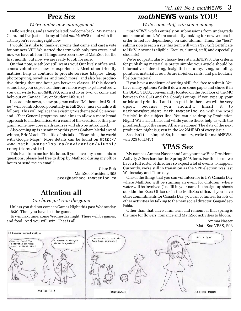### **Prez Sez**

#### *We're under new management*

Hello Mathies, and (a very belated) welcome back! My name is Clare, and I've just made my official *math*NEWS debut with this article you're reading right now.

I would first like to thank everyone that came and cast a vote for our new VPF. We started the term with only two execs, and now we have all four! Things have been slow at MathSoc for the first month, but now we are ready to roll for sure.

On that note, MathSoc still wants you! Our lively office welcomes volunteers, new or experienced. Meet other friendly mathies, help us continue to provide services (staples, cheap photocopying, novelties, and much more), and also feel productive during that one hour gap between classes! If this doesn't sound like your cup of tea, there are more ways to get involved… you can write for *math*NEWS, join a club or two, or come and help out on Canada Day or Student Life 101!

In academic news, a new program called "Mathematical Studies" will be introduced potentially in Fall 2009 (more details will follow). This will replace the existing "Mathematical Sciences" and 3-Year General programs, and aims to allow a more broad approach to mathematics. As a result of the creation of this program, some new core math courses will also be introduced.

Also coming up is a seminar by this year's Graham Medal award winner, Eric Veach. The title of his talk is "Searching the world with Google Maps". More details can be found on http:// www.math.uwaterloo.ca/navigation/Alumni/ receptions.shtml.

This is all from me for this issue. If you have any comments or questions, please feel free to drop by Mathsoc during my office hours or send me an email!

> Clare Park MathSoc President, S08 prez@mathsoc.uwaterloo.ca

### **Attention all**

#### *You have just won the game*

Unless you did not come to Games Night this past Wednesday at 6:30. Then you have lost the game.

To win next time, come Wednesday night. There will be games, and food. And you will win. That is all.

### *math***NEWS wants YOU!**

*Write some stuff, win some money*

*math*NEWS works entirely on submissions from undergrads and some alumni. We're constantly looking for new writers in order to reduce dependency on said alumni. Thus, the "best" submission to each issue this term will win a \$25 Gift Certificate to HMV. Anyone is eligible! Faculty, alumni, staff, and especially students!

We're not particularly choosy here at mathNEWS. Our criteria for publishing material is pretty simple: your article should be informative, interesting, insightful or funny. Long, rambling, pointless material is out. So are in-jokes, rants, and particularly libelous material.

If you have a modicum of writing skill, feel free to submit. You have many options: Write it down on some paper and shove it in the BLACK BOX, conveniently located on the 3rd floor of the MC between the C&D and the Comfy Lounge. If you type up your article and print it off and then put it in there, we will be very upset, because you should… Email it to mathnews@student.math.uwaterloo.ca with the word "article" in the subject line. You can also drop by Production Night! Write an article, and while you're there, help us with the proofreading of the issue. All are welcome! The date of the next production night is given in the *look*AHEAD of every issue.

See, isn't that simple? So, in summary, write for mathNEWS, win \$25 to HMV!

### **VPAS Sez**

My name is Ammar Naseer and I am your new Vice President, Activity & Services for the Spring 2008 term. For this term, we have a full roster of directors so expect a lot of events to happen. Currently, we're still in transition as the VPF election was last Wednesday and Thursday.

One of the things that you can volunteer for is UW Canada Day where MathSoc will be running an event for children, where water will be involved. Just fill in your name in the sign-up sheets outside the Exec Office or in the MathSoc office. If you have other commitments for Canada Day, you can volunteer for lots of other activities by talking to the new social director, Gagandeep Pabla.

Other than that, have a fun term and remember that spring is the time for flowers, romance and MathSoc activities to bloom.

> Ammar Naseer Math Soc VPAS, S08

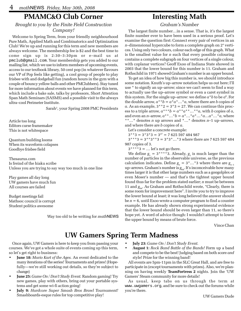### **PMAMC&O Club Corner**

### *Brought to you by the Finite Field Construction Company!*

Welcome to Spring Term, from your friendly neighbourhood Pure Math, Applied Math and Combinatorics and Optimization Club! We're up and running for this term and new members are always welcome. The membership fee is \$2 and the best time to come sign up is 2:30–3:30pm or e–mail us at pmclub@gmail.com. Your membership gets you added to our mailing list, which we use to inform members of upcoming events, access to our textbook library, 50 cent pop (in whatever flavours our VP of Pop feels like getting), a cool group of people to play frisbee with and dodgeball fun (random hours in the gym with a couple of bouncy yellow balls and other PMClubbers). Stay tuned for more information about events we have planned for this term, which include a bake sale, talks by professors, Short Attention Span Math Seminars (SASMS) and a possible visit to the always ultra–cool Perimeter Institute.

Sarah<sup>2</sup>, your Spring 2008 PMC Presidents

Article too long Editors curse framemaker This is not whitespace

Quantum building looms When its waveform colapses Goodbye frisbee field

Thesaurus.com Is freind of the hiaku scribe Unless you are trying to say way too much in one line

Play games all day long UW gamers have much fun All courses are failed

Budget meetings fail Mathsoc council is corrupt Student politics awesome

Way too old to be writing for *math*NEWS

### **Interesting Math**

#### *Graham's Number*

The largest finite number…in a sense. That is, it's the largest finite number ever to have been used in a serious proof. Let's examine the question first: Connect every pair of vertices in an *n*–dimensional hypercube to form a complete graph on 2*n* vertices. Using only two colours, colour each edge of this graph. What is the smallest value for *n* such that every possible colouring contains a complete subgraph on four vertices of a single colour, with coplanar vertices? Geoff Exoo of Indiana State showed in 2003 that the lower bound for this number is 11. Graham and Rothschild in 1971 showed Graham's number is an upper bound.

To get an idea of how big this number is, we should introduce some notation. Knuth's up–arrow notation helps us out here; I'll use \* to signify an up–arrow; since we can't seem to find a way to actually use the up–arrow symbol or even a caret symbol in this system. For the single up–arrow: we define  $a^*b$  to be  $a^b$ . For the double arrow,  $a^{**}b = a^*a^*...*a$ , where there are *b* copies of *a*. As an example,  $3^{**}2 = 3^{*}3 = 27$ . We can continue this process to a triple arrow,  $a^{**}b = a^{**}a^{**}...$ <sup>\*</sup>a, with *b* copies of *a*, and even an *n*–arrow,  $a^{**}...*b = a^{*}...*a^{*}...*a...a^{*}...*a$ , where \*\*…\* denotes *n* up arrows and \*…\* denotes *n*–1 up–arrows, and where there are *b* copies of *a*.

Let's consider a concrete example:

 $3***3 = 3*3*3 = 3<sup>27</sup> = 7625597484987$ 

 $3***3 = 3***3**3 = 3*3*...*3$  where there are 7 625 597 484 987 copies of 3.

 $3****3 = \dots$  let's not go there.

We define  $g_1 = 3****3$ . Already,  $g_1$  is much larger than the number of particles in the observable universe, as the previous calculation indicates. Define  $g_n = 3^*...*3$  where there are  $g_{n-1}$ up–arrows. Graham's number is  $g_{64}$ . It's inconceivable how many times larger it is that other large numbers such as a googolplex or even Moser's number — and that's the tightest upper bound found thus far for the problem stated earlier; *n* must be between 11 and  $g_{64}$ . As Graham and Rothschild wrote, "Clearly, there is some room for improvement here". I invite you to try to improve the lower bound at least; it was long believed the answer should be *n* = 6, until Exoo wrote a computer program to find a counter example. He has already shown strong experimental evidence that the lower bound should be even larger than 11, so there's hope yet. A word of advice though: I wouldn't attempt to lower the upper bound by means of brute force.

Vince Chan

### **UW Gamers Spring Term Madness**

Once again, UW Gamers is here to keep you from passing your courses. We've got a whole suite of events coming up this term, so let's get right to business:

- **June 18:** *Mario Kart of the Ages.* An event dedicated to the many iterations of the series! Tournaments and prizes! (Hopefully—we're still working out details, so they're subject to change)
- **June 25:** *Game On / Don't Study Event.* Random gaming! Try new games, play with others, bring out your portable systems and get some wi-fi action going!
- **July 9:** *Hardcore Super Smash Bros Brawl Tournament!* Smashboards-esque rules for top competitive play!
- **July 23:** *Game On / Don't Study Event.*
- **August 1:** *Rock Band Battle of the Bands!* Form up a band and compete to be the best! Judging based on both score *and* style! Prize for the winning band!

All events are 5pm-11pm in the SLC Great Hall, and are free to participate in (except tournaments with prizes). Also, we're planning on having weekly **TeamFortress 2** nights. Join the 'UW Gamers' Steam community for more details!

As usual, keep tabs on us through the term at www.uwgamers.org, and be sure to check out the forums while you're there.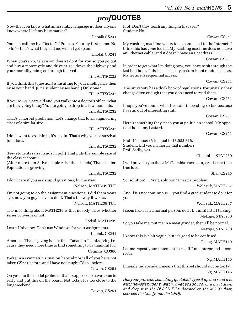# *prof***QUOTES**

Now that you know what an assembly language is, does anyone know where I left my blue marker?

Lhoták CS241

You can call me by "Doctor", "Professor", or by first name. No "Mr."—that's what they call me when I get spam.

Lhoták CS241

When you're 25, television doesn't do it for you so you go out and buy a motorcycle and drive at 150 down the highway and your mortality rate goes through the roof!

Till, ACTSC232

If you think this [question] is insulting to your intelligence then raise your hand. (One student raises hand.) Only one?

Till, ACTSC232

If you're 130 years old and you walk into a doctor's office, what are they going to say? You're going to drop in a few moments.

Till, ACTSC232

That's a morbid prediction. Let's change that to an engineering class of a similar size.

Till, ACTSC232

I don't want to explain it, it's a pain. That's why we use survival functions.

Till, ACTSC232

(Few students raise hands in poll) That puts the sample size of the class at about 5.

(After more than 5 five people raise their hands) That's better. Population is growing

Till, ACTSC232

I don't care if you ask stupid questions, by the way.

#### Nelson, MATH239 TUT

I'm not going to do the assignment questions! I did them years ago, now you guys have to do it. That's the way it works.

Nelson, MATH239 TUT

The nice thing about MATH239 is that nobody cares whether series converge or not.

Godsil, MATH239

Learn Unix now. Don't use Windows for your assignments.

Lhoták, CS241

American Thanksgiving is later than Canadian Thanksgiving because they need more time to find something to be thankful for. Celmins, CO380

We're in a symmetric situation here: almost all of you have not taken CS251 before, and I have not taught CS251 before.

Cowan, CS251

Oh yes, I'm the model professor that's supposed to have come in early and put this on the board. Not today. It's too close to the long weekend.

Cowan, CS251

Prof: Don't they teach anything in first year? Student: No.

Cowan CS251

My washing machine wants to be connected to the Internet. I think this has gone too far. My washing machine does not have an Ethernet cable, and it doesn't have an IP address.

Cowan, CS251

In order to get what I'm doing now, you have to sit through the last half hour. This is because my lecture is not random access. My lecture is sequential access.

Cowan, CS251

The university has a thick book of regulations. Fortunately, they change often enough that you don't need to read them.

Cowan, CS251

I hope you've found what I've said interesting so far, because I've run out of interesting stuff.

Cowan, CS251

Here's something they teach you at politician school: My opponent is a slimy bastard.

Cowan, CS251

Prof: 49 choose 6 is equal to 13,983,816. Student: Did you memorize that number? Prof: Sadly, yes.

Chisholm, STAT230

I will prove to you that a McDonalds cheeseburger is better than true love.

Shai, CS245

So, solution! … Wait, solution? I need a problem!

Wolczuk, MATH237

And if it's not continuous… you find a grad student to do it for you.

Wolczuk, MATH237

I seem like such a normal person, don't I… until I start talking. Metzger, STAT230

So you take me, put me in a meat grinder, then I'll be normal. Metzger, STAT230

I know this is a bit vague, but it's good to be confused.

Chang, MATH119

Let me repeat your statement to see if I misinterpreted it correctly.

Ng, MATH146

Linearly independent means that this set should not be too fat. Ng, MATH146

*Has your prof said something quotable? Type it up and send it to* mathnews@student.math.uwaterloo.ca*, or write it down and drop it in the BLACK BOX (located on the MC 3rd floor, between the Comfy and the C&D).*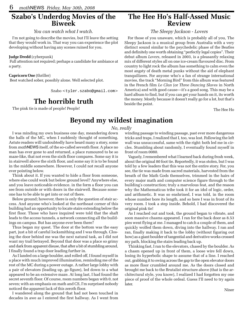# **Szabo's Underdog Movies of the Biweek**

### *You can watch what I watch.*

I'm not going to describe the movies, but I'll leave the setting that they would work in. That way you can experience the plot developing without having any scenes ruined for you.

#### **Judge Dredd** (cyberpunk)

 Full attention not required; perhaps a candidate for ambiance at a party.

#### **Capricorn One** (thriller)

Best watched sober, possibly alone. Well selected plot.

Szabo <tyler.szabo@gmail.com>

### **The horrible truth**

The pink tie is made of people! People!

### **The Hee Ho's Half-Assed Music Review**

### *The Sleepy Jackson - Lovers*

For those of you unaware, which is probably all of you, The Sleepy Jackson is a musical group from Australia with a very distinct sound similar to the psychedelic phase of the Beatles and definitely one worth obtaining "perfectly legal copies". Their debut album *Lovers*, released in 2003, is a pleasantly relaxing mix of different styles all on one ice-cream flavoured disc. From country to light rock the album has something to calm even the most angsty of death metal punks without the aid of elephant tranquilizers. For anyone who's a fan of strange international movies, the track "Morning Bird" from this album was featured in the French film *Le Clan* (or *Three Dancing Slaves* in North America) and with good cause—it's a good song. This may be a hard album to find, but if you can get your hands on it, its worth the money. Mostly because it doesn't really go for a lot, but that's beside the point.

The Hee Ho

### **Beyond my wildest imagination**

#### *No, really*

I was minding my own business one day, meandering down the halls of the MC, when I suddenly thought of something. Astute readers will undoubtedly have heard many a story, some from *math*NEWS itself, of the so-called seventh floor. A place no man has ever gone to and returned, a place rumoured to be so maze-like, that not even the sixth floor compares. Some say it is in stairwell above the sixth floor, and some say it is to be found in the middle somewhere. However, I could not recall anyone ever pointing below.

Think about it. If you wanted to hide a floor from someone, where else could work but below ground level? Anywhere else, and you leave noticeable evidence. in the form a floor you can see from outside or with doors in the stairwell. Because someone has to be able to get into or out of there.

Below ground; however, there is only the question of stair access. And anyone who's looked at the northeast corner of this building had an opportunity to locate stairs extending below the first floor. Those who have inquired were told that the shaft leads to the access tunnels, a network connecting all the buildings on campus. But has anyone ever been there?

Thus began my quest. The door at the bottom was the easy part, just a bit of careful locksmithing and I was through. Closing the door behind me was the next natural task, as I did not want my trail betrayed. Beyond that door was a place so grimy and dark from apparent disuse, that after a bit of stumbling around, I finally found a trap door leading further in.

As I landed on a large boulder, and rolled off, I found myself in a place with much improved illumination, reminding me of the rest of the MC during a power outage. A rather large lobby with a pair of elevators (leading up, go figure), led down to a what appeared to be an extensive maze. At long last, I had found the secret seventh floor. Of course, room numbers began with 0, not seven; with an emphasis on math and CS, I'm surprised nobody noticed the apparent lack of this zeroth floor.

I wandered along the ground that had not been touched in decades in awe as I entered the first hallway. As I went from

winding passage to winding passage, past ever more dangerous tricks and traps, I realized that I, too, was lost. Following the left wall was unsuccessful, same with the right: both led me in circles. Stumbling about randomly, I eventually found myself in front of room 0080.

Vaguely, I remembered what I learned back during frosh week, about the original 80 foot tie. Reportedly, it was stolen, but I was told by a few leaders that this was not the entire story. For, you see, the tie was made from sacred materials, harvested from the breath of the Math Gods themselves, trimmed in the hairs of every major math and computer science figure through to the building's construction; truly a marvelous feat, and the reason why the Mathematicus tribe took it for an idol of logic, order, and arithmetic. It was so enshrined, I was told, in the room whose number bore its length, and so here I was in front of its very room. I took a step inside. Behold, I had discovered the original pink tie!

As I reached out and took, the ground began to vibrate, and soon massive chasms appeared. I ran for the back door as 8.53 pies went flying at me. I managed to catch a couple of them, and quickly wolfed them down, diving into the hallway. I ran and ran, finally making it back to the lobby (without figuring out how) as a giant boulder of tangential and derivative works crossed my path, blocking the stairs leading back up.

Thinking fast, I ran to the elevators, chased by the boulder. As a chasm opened up in front of them, a loose wire fell down, losing its hyperbolic shape to assume that of a line. I reached out, grabbing it to swing across the gap to the open elevator doors as more floor crumbled around me. As the doors closed and brought me back to the Brutalist structure above (that is the architectural style, you know), I realized I had forgotten my one piece of proof of the whole ordeal. Guess I'll need to try again later.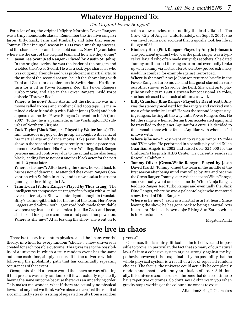# **Whatever Happened To:**

### *The Original Power Rangers?*

For a lot of us, the original Mighty Morphin Power Rangers was a truly memorable classic. Remember the first five rangers? Jason, Billy, Zack, Trini and Kimberly, and later that season, Tommy. Their inaugral season in 1993 was a smashing success, and the characters became household names. Now, 15 years later, where are the cast of the original team and how are they doing?

• **Jason Lee Scott (Red Ranger - Played by Austin St. John):** In the original series, he was the leader of the rangers and wielded the Power Sword. He was a jock type character who was outgoing, friendly and was proficient in martial arts. In the midst of the second season, he left the show along with Trini and Zack for a conference in Switzerland. He did return for a bit in Power Rangers: Zeo, the Power Rangers Turbo movie, and also in the Power Rangers: Wild Force episode "Forever Red".

**Where is he now?** Since Austin left the show, he was in a movie called Expose and another called Footsteps. He maintained a close friendship with Walter Jones (Zack) and both appeared at the first Power Rangers Convention in LA (June 2007). Today, he is a paramedic in the Washington DC suburbs of Northern Virginia.

• **Zack Taylor (Black Ranger - Played by Walter Jones):** The fun, dance-loving guy of the group, he fought with a mix of his martial arts and dance moves. Like Jason, he left the show in the second season apparently to attend a peace conference in Switzerland. His Power Axe-Wielding, Black Ranger persona ignited controvery due to the actual actor also being black, leading Fox to not cast another black actor for the part until 13 years later.

**Where is he now?:** After leaving the show, he went back to his passion of dancing. He attended the Power Rangers Convention with St.John in 2007, and is now a salsa instructor (amongst other things) in LA.

• **Trini Kwan (Yellow Ranger - Played by Thuy Trang):** The intelligent yet compassionate ranger often fought with a "mind over matter" style. She was intelligent enough to translate Billy's techno-gibberish for the rest of the team. Her Power Daggers and Sabre-Tooth Tiger zord both made formidable weapons against her the enemies. Just like Zack and Jason, she too left for a peace conference and passed her power on. **Where is she now?** After leaving the show, she went on to

act in a few movies, most notibly the lead villain in The Crow: City of Angels. Unfortunately, on Sept 3, 2001, she was involved in a car accident that tragically took her life at the age of 27.

• **Kimberly Hart (Pink Ranger - Played by Amy Jo Johnson):** The proficient gymnist who was the pink ranger was a typical valley girl who often made witty jabs at others. She dated Tommy until she left the rangers team and eventually broke up with Tommy via a letter. Her Power Bow proved extremely useful in combat, for example against TerrorToad.

**Where is she now?** Amy Jo Johnson returned briefly in the Power Rangers Turbo movie, and has guest starred in various other shows (ie Saved by the Bell). She went on to play Julie on Felicity in 1998. Between her occasional TV roles, she has released two musical albums as well.

• **Billy Cranston (Blue Ranger - Played by David Yost):** Billy was the stereotypical nerd for the rangers and worked with most of the technical stuff. He was the second longest staying rangers, lasting all the way until Power Rangers Zeo. He left the rangers when suffering from accelerated aging and he travelled to the planet Aquitar for a cure. He decided to then remain there with a female Aquitian with whom he fell in love with.

**Where is he now?:** Yost went on to various minor TV roles and TV movies. He performed in a benefit play called Fallen Guardian Angels in 2002 and raised over \$25,000 for the Children's Hospitals AIDS Center. He currently resides in Roseville California.

• **Tommy Oliver (Green/White Ranger - Played by Jason David Frank):** Tommy joined the team in the middle of the first season after being mind controlled by Rita and became the Green Ranger. Tommy later switched to the White Ranger, and eventually went on to become the White Ninja Ranger, Red Zeo Ranger, Red Turbo Ranger and eventually the Black Dino Ranger, where he was a paleontologist who mentored a new breed of Dino Rangers.

**Where is he now?** Jason is a martial artist at heart. Since leaving the show, he has gone back to being a Martial Arts Instructor. He has his own dojo: Rising Sun Karate which is in Houston, Texas.

Megaton Panda

### **We live in chaos**

There is a theory in quantum physics called the "many worlds" theory, in which for every random "choice", a new universe is created for each possible outcome. This gives rise to the possibility of a universe in which a truly random event has the same outcome each time, simply because it is the universe which is following the probability path that has continually repeating occurences of that event.

Occupants of said universe would then have no way of telling if that process was truly random, or if it was actually repeatedly having the same outcome because there was an underlying order. This makes me wonder, what if there are actually no physical laws, and any that we think we've observed are just the result of a cosmic lucky streak, a string of repeated results from a random

process?

Of course, this is a fairly difficult claim to believe, and impossible to prove. In particular, the fact that so many of our natural laws fit into a cohesive system argues strongly against my hypothesis; however, this is explainable by the possibility that the whole physical system is a result of a lot of repeated random choices. The fact is, the universe could actually be completely random and chaotic, with only an illusion of order. Additionally, this universe could be one of the ones that don't continue to have repetitive outcomes. So don't say I didn't warn you when gravity stops working or the colour blue ceases to exist.

ARandomStringOfCharacters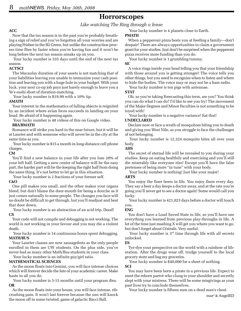### **Horrorscopes**

*Like watching The Ring through a lense*

#### **ACC**

Now that the tax season is in the past you're probably breathing a sign of relief and you've forgotten all your worries and are playing Frisbee in the B2 Green, but unlike the construction process time flies by faster when you're having fun and it won't be long before the next tax season sneaks up on you.

 Your lucky number is 335 days until the end of the next tax season.

#### **ACTSCI**

The Macaulay duration of your assets is not matching that of your liabilities leaving you unable to immunize your cash position and leaving you with a huge hole in your budget. With your luck, your next co-op job pays just barely enough to leave you a Ye's sushi short of duration-matching.

Your lucky number is \$19.99 with a 10% tip.

#### **AMATH**

Your interest in the mathematics of falling objects is reignited by an incident where avian feces succeeds in landing on your head. Be afraid of it happening again.

Your lucky number is 48 videos of this on Google video.

#### **BBA/BMATH**

Romance will strike you hard in the near future, but it will be at Laurier and with someone who will never be in the city at the same time as you.

 Your lucky number is \$15 a month in long-distance cell phone charges.

#### **CM**

You'll find a new balance in your life after you lose 20% of your left half. Getting a new center of balance will be the easy part, the harder part will be the keeping the right half from doing the same thing. It's not better to let go in this situation.

Your lucky number is 2 fractions of your former self.

#### **C&O**

One pill makes you small, and the other makes your organs bleed, but don't blame the door-mouth for being a douche as it just comes naturally to some people. The changes you face will no doubt be difficult to get through, but you'll readjust and beat that door down.

 Your lucky number is an abstraction of an acid trip. Dood! **CS**

Your code will not compile and debugging is not working. The world is not working in your favour and you may die a violent death.

#### Your lucky number is 14 continuous hours spent debugging. **MATH/BUS**

Your Laurier classes are now sausagefests as the only people enrolled in them are UW students. On the plus side, you've never had as many other Math/Bus students in your class.

Your lucky number is an infinite guy/girl ratio.

#### **MATHEMATICAL SCIENCES**

As the moon floats into Gemini, you will face intense choices which will forever decide the fate of your academic career. Make haste in all you do.

 Your lucky number is 3-15 months until your program dies. **OR**

As the moon floats into your house, you will face intense, ribcrushing pain. It won't last forever because the sun will knock the moon off in some twisted, game of galactic Bacci Ball.

### Your lucky number is 4 planets close to Earth.

#### **PMATH**

When a pepperoni pizza bests you at feeding a family—don't despair! There are always opportunities to claim a government grant for your studies. Just don't be surprised when the pepperoni pizza receives more funding than you do.

Your lucky number is 1 grumbling tummy.

#### **SE**

A voice rings inside your head telling you that your friendship with those around you is getting stronger! The voice tells you other things, but you need to recognize when to listen and where to hide the bodies. The voice may or may not be a ham radio.

Your lucky number is ten pigs with antennae.

#### **STAT**

Oh, so you're taking Forecasting this term, are you? You think you can do what I can do? I'd like to see you try! The movement of the Major Degrees and Minor Faculties is not something to be toyed with!

Your lucky number is a negative variance! Eat that!

#### **UNDECLARED**

Declare now or face a wrath of mosquitoes biting you to death and giving you West Nile, as you struggle to face the challenges of not belonging.

 Your lucky number is 12,324 mosquito bites all over your body.

#### **AHS**

The secret of eternal life will be revealed to you during your studies. Keep on eating healthily and exercising and you'll still die miserably like everyone else! Except you'll have the false pretenses of being more "in tune" with your body.

Your lucky number is nothing! Just like your major!

#### **ARTS**

You enjoy the finer beers in life. You enjoy them every day. They say a beer a day keeps a doctor away, and at the rate you're going you'll never get to see a doctor again! Some would call you lucky.

 Your lucky number is 421,023 days before a doctor will touch you.

#### **ENG**

You don't have a Load Saved State in life, so you'll have use everything you learned from previous play-throughs in life. A lot of the time just mashing X will get you where you want to go, but don't forget about O/strafe. Very useful.

Your lucky number is  $3<sup>rd</sup>$  time through life with all secrets unlocked.

#### **ES**

Tye-dye your perspective on the world with a rainbow of liberation. After the drugs wear off, trudge yourself to the local grocery store and bag my groceries.

Your lucky number is \$40,000 for a sheet of nothing.

**SCI**

You may have been born a pirate in a previous life. Expect to meet the reborn parrot who clung to your shoulder and secretly slept with your mistress. There will be some misgivings as your past lives try to conclude themselves.

Your lucky number is fifteen men on a dead man's chest.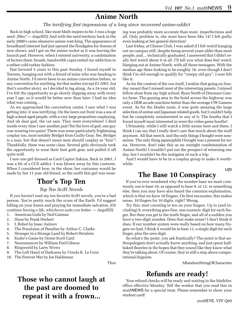### **Anime North**

### *The terrifying first impressions of a long since recovered anime-addict*

Back in high school, like most Math-majors-to-be, I was a huge nerd. *[Was? — AngelED]* And with the nerd territory back in the early 2000's came obsessive anime watching. The appearance of broadband internet had just opened the floodgates for dozens of new shows, and I got on the anime rocket as it was leaving the launch pad. However, when I entered university, a combination of factors (beer, broads, bandwidth caps) ended my addiction in a rather cold-turkey fashion.

Fast forward 5 years to this past Sunday. I found myself in Toronto, hanging out with a friend of mine who was heading to Anime North. I'd never been to an anime convention before, or any convention for anything, for that matter *(except E3 2001, but that's another story)*, so I decided to tag along. As a 24-year old, I've felt the opportunity to go slowly slipping away with every year I age, so it would be better now than later. I had no idea what was coming…

As we approached the convention center, I saw what I was getting into: it was terrifying. On the lawn out front was a sea of high school-aged people, with a very large proportion cosplaying. And oh dear god, the cat ears. They were everywhere! I died inside every time I saw another pair! For the love of god, one guy was wearing two pairs! There was some particularly frightening cosplay too, most notably Bridget from Guilty Gear. Yes, Bridget is a man, but that doesn't mean men should cosplay as "him"! Thankfully, there was some class. Several girls obviously took the opportunity to wear their best goth gear, and pulled it off quite well.

I saw one girl dressed as Card Captor Sakura. Back in 2001, I was a bit of a CCS addict. I was blown away by this costume. When I considered how, in the show, her costumes would be

### **Thor's Top Ten**

#### *Top Ten SciFi Novels*

If you haven't read my ten favorite SciFi novels, you're a bad person. You're pretty much the scum of the Earth. I'd suggest falling on your knees and praying for immediate salvation. *[Or continue having a life, whichever suits you better. — AngelED]*

- 1. American Gods by Neil Gaiman
- 2. Dune by Frank Herbert
- 3. I, Robot by Isaac Asimov
- 4. The Fountains of Paradise by Arthur C. Clarke
- 5. Stranger in a Strange Land by Robert Heinlein
- 6. Ender's Game by Orson Scott Card
- 7. Neuromancer by William Ford Gibson
- 8. Ringworld by Larry Niven
- 9. The Left Hand of Darkness by Ursula K. Le Guin
- 10. The Forever War by Joe Haldeman

Thor

# **Those who cannot laugh at the past are doomed to repeat it with a frown...**

ing was probably more accurate than most, imperfections and all. Only problem is, she must have been like 14! I felt guilty even looking at her general direction!

Last friday, at Cheese Club, I was asked if I felt weird hanging out on campus still, despite being several years older than most people, and… technically graduated. I answered that I didn't really feel weird about it at all. I'll tell you what does feel weird; Hanging out at Anime North, with all those teenagers. With the median age there looking to be roughly 16, even though I don't think I'm old enough to qualify for "creepy old guy", I sure felt like it.

As for the content of the con itself, I realize that going on Sunday meant that I missed most of the interesting panels. I missed fellow alum from my high school, Ryan North of Dinosaur Comics fame. The gaming area in the hotel across the highway was only a DDR arcade machine better than the average UW Gamers event. As for the Dealer room, it was quite amazing the large selection of anime and Japanese related goods, but I couldn't help but be completely uninterested in any of it. The booths that I found myself most interested in were the video game booths!

Ultimately, while I still watch a little anime here and there, I think I can say that I really don't care that much about the stuff anymore. All that merch, and the only things I bought were nonanime. The only thing japanophile I bought was a present for my sis. However, don't take this as an outright condemnation of Anime North! I wouldn't put out the prospect of returning one day, but I wouldn't be the instigator of such a trip.

And I would have to be in a cosplay group to make it worthwhile.

MJB

### made by her 11 year old friend, so the outfit this girl was wear- **The Base 10 Conspiracy**

If you've ever wondered why the number base we most commonly use is base 10, as opposed to base 9, or 12, or something else, then you may have also heard the common explaination, which is that we have 10 fingers. On first encounter, this makes sense, 10 fingers for 10 digits, right? Wrong.

Try this: start counting to ten on your fingers. Up to (and including) 9, everything goes fine, one numeric digit for each finger. But then you get to the tenth finger, and all of a sudden you have a two-digit number. Does that make sense? I don't think it does. If our number system were really based on how many fingers we had, I think it would be in base 11, a single digit for each finger, plus the zero digit.

So what's the point, you ask frantically? The point is that anthropologists don't actually know anything, and just spout halfbaked theories in the hopes that they sound like they know what they're talking about. Of course, they're still a step above computational linguists.

ARandomStringOfCharacters

### **Refunds are ready!**

Your refund checks will be ready and waiting in the MathSoc office effective Monday. Tell the worker that you read this in *math*NEWS for a special treat. Please remember to show your student card!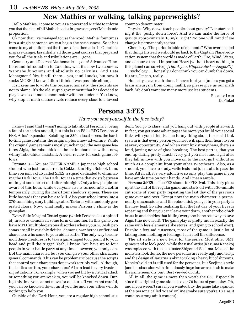### **New Mathies or walking, talking paperweights?**

Hello Mathies, I come to you as a concerned Mathie to inform you that the state of all Mathiehood is in grave danger of Mathietude proportion.

Ok now that I've managed to use the word 'Mathie' four times into a single sentence we can begin the seriousness. So it has come to my attention that the future of mathematics in Ontario is in grave danger. Essentially all those great courses that prepared you for all the trials and tribulations are… gone.

Geometry and Discreet Mathematics—gone! Advanced Functions and Introduction to Calculus, well it's now two courses. Wannabe functions and absolutly no calculus. And Data Managment? Yes, it still there… yes, it still sucks, but now it sucks MORE (I know, I didn't think it was possible either).

It sickens me to write this because, honestly, the students are not to blame! It's the old stupid government that has decided to play lowest common denominator with the students. You know, why stop at math classes? Lets reduce every class to a lowest common denominator!

Physics: Why do we teach people about gravity? Lets start calling it the 'pushy down force'. And we can make the force of gravity approximately 10 m/s2 , right? No one will mind if we change it permanently to that.

Chemistry: The periodic table of elements? Who ever needed that thing? Instead we should go back to the Captain Planet education system that the world is made of Earth, Fire, Wind, Water, and of course the all important Heart (without heart nothing in this planet can survive). *[Thank you, Hippocrates! — AngelED]*

Psychology: … honestly, I don't think you can dumb this down. It's arts, I mean, really…

Honestly, leave math alone. It never hurt you (unless you got a brain aneurysm from doing math), so please give us our math back. We don't want too many more useless students.

> Because I can DaFinkel

### **Persona 3:FES**

### *Have you shot yourself in the face today?*

I know I said that I wasn't going to talk about Persona 3, being a fan of the series and all, but this is the PS2's RPG Persona 3: FES. Atlus' expansion. Retailing for \$30 in local stores, the hardto-find game contains the original plus a new adventure. While the original game remains mostly unchanged, the new game features Aigis, the robo-chick as the main character with a new, whiny robo-chick assistant. A brief review for each game follows:

**Persona 3**— You are ENTER NAME, a Japanese high school student who just transferred to Gekkoukan High School. In no time you join a club called SEES, a squad dedicated to eliminating the Dark Hour. The Dark Hour is a time that exists between midnight and one second after midnight. Only a few people are aware of this hour, while everyone else is turned into a coffin temporarily. During the Dark Hour shadows appear. These are little bastards that you have to kill. Also your school turns into a 270-something story building called Tartarus with randomly generated floors. Now, what really makes Persona 3 shine is the gameplay.

Every Shin Megami Tensei game (which Persona 3 is a spinoff of) involves demons in some form or another. In this game you have MPD (multiple-persona disorder) where your 200-ish personas are all invariably deities, demons, war heroes or fictional characters who come to your aid in battle. The only way to summon these creatures is to take a gun-shaped tool, point it to your head and pull the trigger. Yeah, I know. You have up to four people in your battle party at any time; however, you only control the main character, but you can give your other characters general commands. This can be problematic because the scripts that control your characters don't work terribly well. Although, the battles are fun, your characters' AI can lead to very frustrating situations. For example: when you get hit by a critical attack or something you are weak to, you will be knocked down. During this time you cannot move for one turn. If you're not careful, you can be knocked down until you die and your allies will do nothing to help you.

Outside of the Dark Hour, you are a regular high school stu-

dent. You go to class, and you hang out with people afterward. In fact, you get some advantages the more you build your social links with your friends. The funny thing about the social link system is that every person you meet will spill their heart to you at every opportunity. And when your link strengthens, there's a loud, jarring noise of glass breaking. The best part is, that you end up dating pretty much every girl you meet and right after they fall in love with you move on to the next girl without so much as a complaint from your other sweethearts. Also, as a student, you have to study, write tests and join clubs to pass the time. All in all, it's very addictive so only play this game if you have ample time on your hands. And I mean ample.

**Persona 3:FES**— The FES stands for FEStival. This story picks up at the end of the regular game, and starts off with a 30-minute cut scene of your party repeating the last day of the previous game over and over. Except now the main character is permanently unconscious and the robo-chick you get in your party is the new lead. So after realizing that the last day of your lives is repeating and that you can't leave your dorm, another robo-chick busts in and decides that killing everyone is the best way to save Aigis (the new lead). The gameplay is pretty much exactly the same with less elements (like stores, and going to school ever). Despite a few sad cutscenes, most of the game is just a lot of talking about nothing or feelings, I can't tell the difference.

The art style is a new twist for the series. Most other SMT games tend to look good, while the usual artist (Kazuma Kaneko) was replaced with the lackluster Shigenori Soejima. Most of the monsters look dumb, the new personas are really ugly and tacky, and the design of Tartarus is akin to taking a heavy hit of shrooms. Kaneko's old art is still used for the personas, but Soejima's style (and his obsession with ridiculously huge forearms) clash to make the game seem disjoint. Best viewed drunk.

All in all, the game is more than worth the \$30. Especially since the original game alone is over 70 hours of gameplay. Oh, and if you weren't sure if you wanted buy the game take a gander at the persona called 'Mara' online (make sure you're 18+ as it contains strong adult content).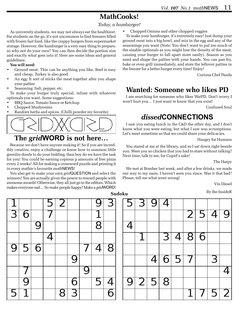# **MathCooks!**

*Today, a hamburger!*

As university students, we may not always eat the healthiest. For students on the go, it's not uncommon to find freezers filled with frozen fast food, like the crappy burgers from supermarket storage. However, the hamburger is a very easy thing to prepare, so why not do your own? You can then decide the portion size and exactly what goes into it! Here are some ideas and general guidelines:

#### **You will need:**

- Ground meat: This can be anything you like. Beef is easy and cheap, Turkey is also good.
- An egg: It sort of sticks the meat together after you shape your patties
- Seasoning: Salt, pepper, etc.

To make your burger truly special, infuse with whatever optionals you want. Some suggestions:

- BBQ Sauce, Tomato Sauce or Ketchup
- Chopped Mushrooms
- Random herbs and spices. (Chilli powder my favorite)



# **The** *grid***WORD is not here…**

Because we don't have anyone making it! So if you are incredibly creative, enjoy a challenge or know how to summon little gremlin-doods to do your bidding, then boy do we have the task for you! You could be earning copious p amounts of free pizza every 2 weeks! All for making a crossword puzzle and printing it in every mathie's favourite *math*NEWS!

You also get to make your own *grid*QUESTION and select the winners! You are actually given the power to reward people with awesome awards! Otherwise, they all just go to the editors. Which makes everyone sad… So make people happy! Make a *grid*WORD!

• Chopped Onions and other chopped veggies

To make your hamburger, it's extremely easy! Just dump your ground meat into a big bowl, and mix in the egg and any of the seasonings you want (Note: You don't want to put too much of the sizable optionals as you might lose the density of the meat, causing your burger to fall apart more easily). Season as you need and shape the patties with your hands. You can pan fry, bake or even grill immediately, and store the leftover patties in the freezer for a better burger every time! Enjoy!

Curious Chef Panda

# **Wanted: Someone who likes PD**

I am searching for someone who likes WatPD. Don't worry I won't hurt you… I just want to know that you exist!

Confused Soul

### *dissed***CONNECTIONS**

I saw you eating lunch in the C&D the other day, and I don't know what you were eating, but what I saw was scrumptious. Let's meet sometime so that we could share your delicacies.

Hungry for Humans

You stared at me at the library, and so I sat down right beside you. Were you so chicken that you had to stare without talking? Next time, talk to me, for Cupid's sake!

The Harpy

We met at Bomber last week, and after a few drinks, we made our way to my oasis. I haven't seen you since. Was it that bad? Please, tell me what went wrong!

Vin Diesel

By the InsideR **Sudoku**